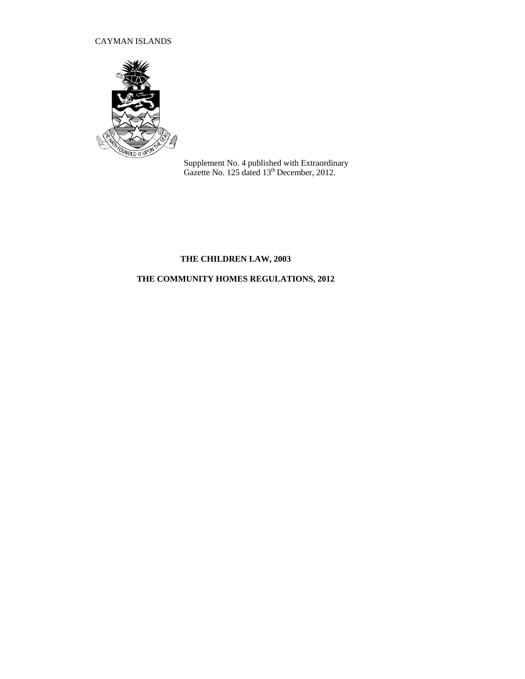# CAYMAN ISLANDS



Supplement No. 4 published with Extraordinary Gazette No. 125 dated 13<sup>th</sup> December, 2012.

# **THE CHILDREN LAW, 2003**

# **THE COMMUNITY HOMES REGULATIONS, 2012**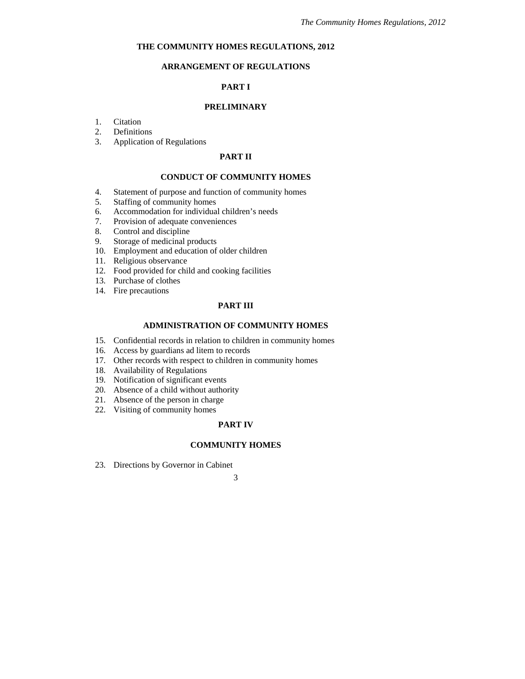# **THE COMMUNITY HOMES REGULATIONS, 2012**

# **ARRANGEMENT OF REGULATIONS**

# **PART I**

# **PRELIMINARY**

- 1. Citation
- 2. Definitions
- 3. Application of Regulations

# **PART II**

#### **CONDUCT OF COMMUNITY HOMES**

- 4. Statement of purpose and function of community homes
- 5. Staffing of community homes
- 6. Accommodation for individual children's needs
- 7. Provision of adequate conveniences
- 8. Control and discipline
- 9. Storage of medicinal products
- 10. Employment and education of older children
- 11. Religious observance
- 12. Food provided for child and cooking facilities
- 13. Purchase of clothes
- 14. Fire precautions

# **PART III**

### **ADMINISTRATION OF COMMUNITY HOMES**

- 15. Confidential records in relation to children in community homes
- 16. Access by guardians ad litem to records
- 17. Other records with respect to children in community homes
- 18. Availability of Regulations
- 19. Notification of significant events
- 20. Absence of a child without authority
- 21. Absence of the person in charge
- 22. Visiting of community homes

# **PART IV**

# **COMMUNITY HOMES**

23. Directions by Governor in Cabinet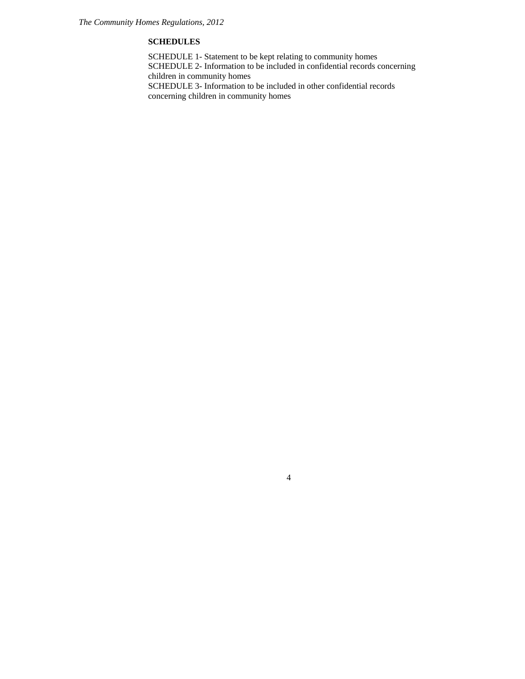# **SCHEDULES**

SCHEDULE 1- Statement to be kept relating to community homes SCHEDULE 2- Information to be included in confidential records concerning children in community homes SCHEDULE 3- Information to be included in other confidential records concerning children in community homes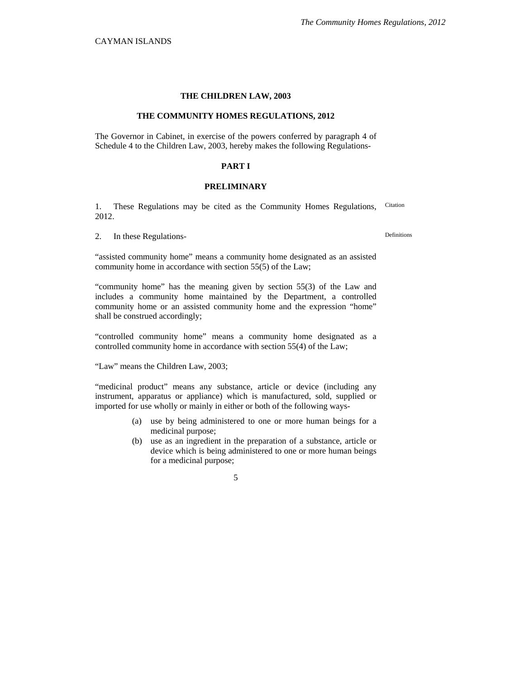#### **THE CHILDREN LAW, 2003**

#### **THE COMMUNITY HOMES REGULATIONS, 2012**

The Governor in Cabinet, in exercise of the powers conferred by paragraph 4 of Schedule 4 to the Children Law, 2003, hereby makes the following Regulations-

### **PART I**

# **PRELIMINARY**

1. These Regulations may be cited as the Community Homes Regulations, 2012. Citation

2. In these Regulations-<br>
Definitions

"assisted community home" means a community home designated as an assisted community home in accordance with section 55(5) of the Law;

"community home" has the meaning given by section 55(3) of the Law and includes a community home maintained by the Department, a controlled community home or an assisted community home and the expression "home" shall be construed accordingly;

"controlled community home" means a community home designated as a controlled community home in accordance with section 55(4) of the Law;

"Law" means the Children Law, 2003;

"medicinal product" means any substance, article or device (including any instrument, apparatus or appliance) which is manufactured, sold, supplied or imported for use wholly or mainly in either or both of the following ways-

- (a) use by being administered to one or more human beings for a medicinal purpose;
- (b) use as an ingredient in the preparation of a substance, article or device which is being administered to one or more human beings for a medicinal purpose;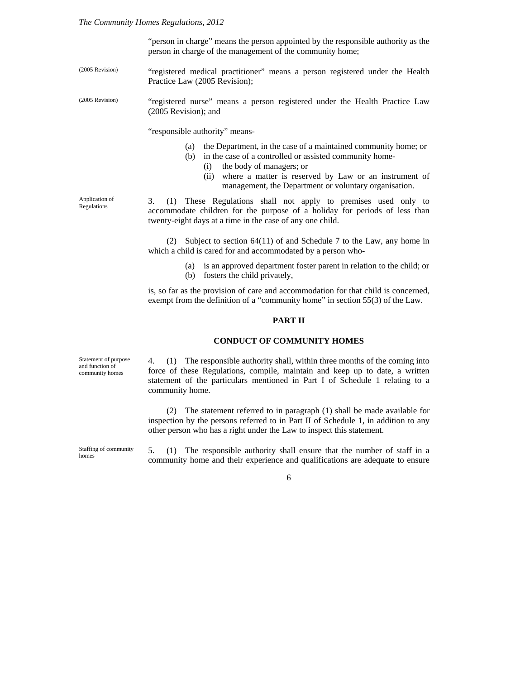"person in charge" means the person appointed by the responsible authority as the person in charge of the management of the community home;

- "registered medical practitioner" means a person registered under the Health Practice Law (2005 Revision); (2005 Revision)
- "registered nurse" means a person registered under the Health Practice Law (2005 Revision); and (2005 Revision)

"responsible authority" means-

- (a) the Department, in the case of a maintained community home; or
- (b) in the case of a controlled or assisted community home-
	- (i) the body of managers; or
	- (ii) where a matter is reserved by Law or an instrument of management, the Department or voluntary organisation.

Application of Regulations

3. (1) These Regulations shall not apply to premises used only to accommodate children for the purpose of a holiday for periods of less than twenty-eight days at a time in the case of any one child.

(2) Subject to section 64(11) of and Schedule 7 to the Law, any home in which a child is cared for and accommodated by a person who-

- (a) is an approved department foster parent in relation to the child; or
- (b) fosters the child privately,

is, so far as the provision of care and accommodation for that child is concerned, exempt from the definition of a "community home" in section 55(3) of the Law.

# **PART II**

### **CONDUCT OF COMMUNITY HOMES**

Statement of purpose and function of community homes

4. (1) The responsible authority shall, within three months of the coming into force of these Regulations, compile, maintain and keep up to date, a written statement of the particulars mentioned in Part I of Schedule 1 relating to a community home.

(2) The statement referred to in paragraph (1) shall be made available for inspection by the persons referred to in Part II of Schedule 1, in addition to any other person who has a right under the Law to inspect this statement.

Staffing of community homes

5. (1) The responsible authority shall ensure that the number of staff in a community home and their experience and qualifications are adequate to ensure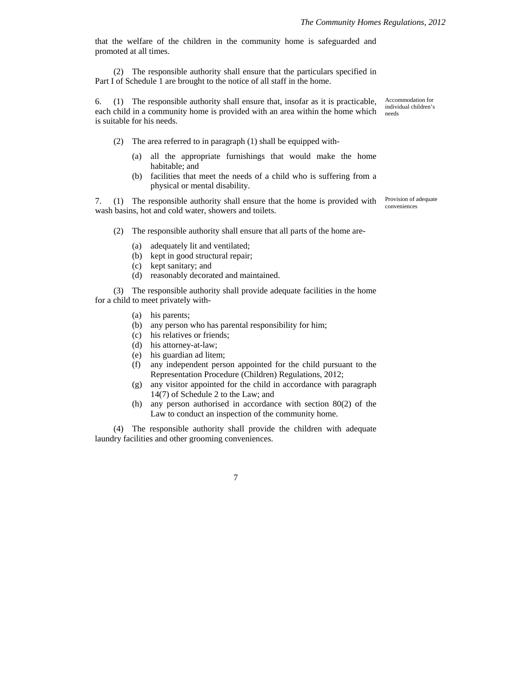that the welfare of the children in the community home is safeguarded and promoted at all times.

(2) The responsible authority shall ensure that the particulars specified in Part I of Schedule 1 are brought to the notice of all staff in the home.

6. (1) The responsible authority shall ensure that, insofar as it is practicable, each child in a community home is provided with an area within the home which is suitable for his needs.

(2) The area referred to in paragraph (1) shall be equipped with-

- (a) all the appropriate furnishings that would make the home habitable; and
- (b) facilities that meet the needs of a child who is suffering from a physical or mental disability.

7. (1) The responsible authority shall ensure that the home is provided with Provision of adequate wash basins, hot and cold water, showers and toilets.

conveniences

Accommodation for individual children's

needs

- (2) The responsible authority shall ensure that all parts of the home are-
	- (a) adequately lit and ventilated;
	- (b) kept in good structural repair;
	- (c) kept sanitary; and
	- (d) reasonably decorated and maintained.

(3) The responsible authority shall provide adequate facilities in the home for a child to meet privately with-

- (a) his parents;
- (b) any person who has parental responsibility for him;
- (c) his relatives or friends;
- (d) his attorney-at-law;
- (e) his guardian ad litem;
- (f) any independent person appointed for the child pursuant to the Representation Procedure (Children) Regulations, 2012;
- (g) any visitor appointed for the child in accordance with paragraph 14(7) of Schedule 2 to the Law; and
- (h) any person authorised in accordance with section 80(2) of the Law to conduct an inspection of the community home.

(4) The responsible authority shall provide the children with adequate laundry facilities and other grooming conveniences.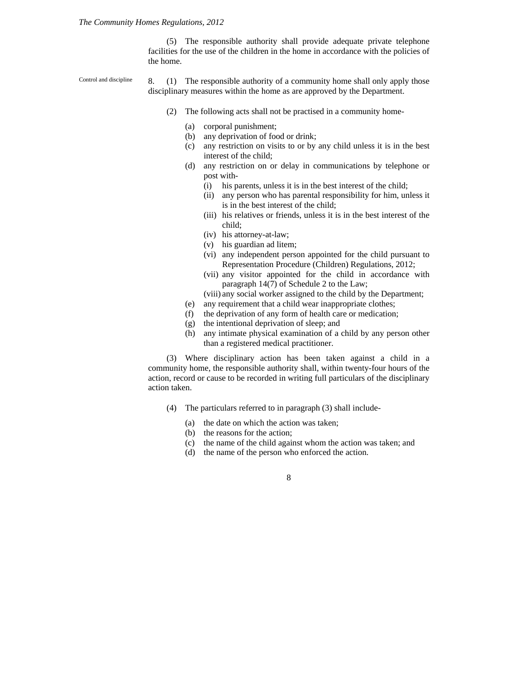(5) The responsible authority shall provide adequate private telephone facilities for the use of the children in the home in accordance with the policies of the home.

8. (1) The responsible authority of a community home shall only apply those disciplinary measures within the home as are approved by the Department. Control and discipline

- (2) The following acts shall not be practised in a community home-
	- (a) corporal punishment;
	- (b) any deprivation of food or drink;
	- (c) any restriction on visits to or by any child unless it is in the best interest of the child;
	- (d) any restriction on or delay in communications by telephone or post with-
		- (i) his parents, unless it is in the best interest of the child;
		- (ii) any person who has parental responsibility for him, unless it is in the best interest of the child;
		- (iii) his relatives or friends, unless it is in the best interest of the child;
		- (iv) his attorney-at-law;
		- (v) his guardian ad litem;
		- (vi) any independent person appointed for the child pursuant to Representation Procedure (Children) Regulations, 2012;
		- (vii) any visitor appointed for the child in accordance with paragraph 14(7) of Schedule 2 to the Law;
		- (viii) any social worker assigned to the child by the Department;
	- (e) any requirement that a child wear inappropriate clothes;
	- (f) the deprivation of any form of health care or medication;
	- (g) the intentional deprivation of sleep; and
	- (h) any intimate physical examination of a child by any person other than a registered medical practitioner.

(3) Where disciplinary action has been taken against a child in a community home, the responsible authority shall, within twenty-four hours of the action, record or cause to be recorded in writing full particulars of the disciplinary action taken.

- (4) The particulars referred to in paragraph (3) shall include-
	- (a) the date on which the action was taken;
	- (b) the reasons for the action;
	- (c) the name of the child against whom the action was taken; and
	- (d) the name of the person who enforced the action.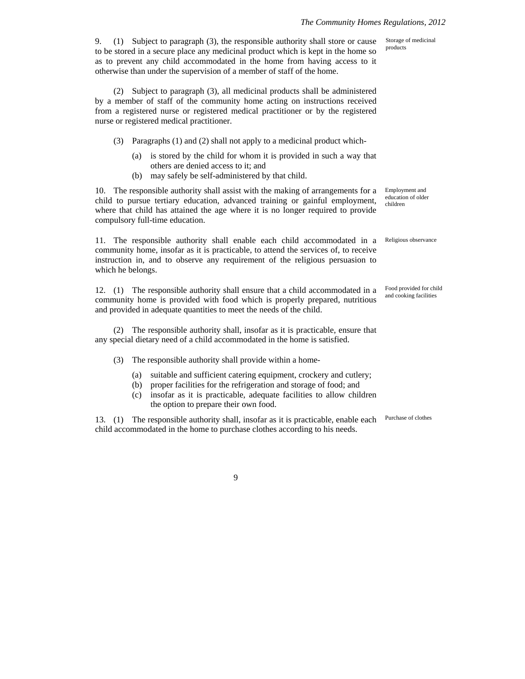9. (1) Subject to paragraph (3), the responsible authority shall store or cause to be stored in a secure place any medicinal product which is kept in the home so as to prevent any child accommodated in the home from having access to it otherwise than under the supervision of a member of staff of the home.

(2) Subject to paragraph (3), all medicinal products shall be administered by a member of staff of the community home acting on instructions received from a registered nurse or registered medical practitioner or by the registered nurse or registered medical practitioner.

- (3) Paragraphs (1) and (2) shall not apply to a medicinal product which-
	- (a) is stored by the child for whom it is provided in such a way that others are denied access to it; and
	- (b) may safely be self-administered by that child.

10. The responsible authority shall assist with the making of arrangements for a child to pursue tertiary education, advanced training or gainful employment, where that child has attained the age where it is no longer required to provide compulsory full-time education.

11. The responsible authority shall enable each child accommodated in a community home, insofar as it is practicable, to attend the services of, to receive instruction in, and to observe any requirement of the religious persuasion to which he belongs.

12. (1) The responsible authority shall ensure that a child accommodated in a community home is provided with food which is properly prepared, nutritious and provided in adequate quantities to meet the needs of the child.

(2) The responsible authority shall, insofar as it is practicable, ensure that any special dietary need of a child accommodated in the home is satisfied.

(3) The responsible authority shall provide within a home-

- (a) suitable and sufficient catering equipment, crockery and cutlery;
- (b) proper facilities for the refrigeration and storage of food; and
- (c) insofar as it is practicable, adequate facilities to allow children the option to prepare their own food.

13. (1) The responsible authority shall, insofar as it is practicable, enable each child accommodated in the home to purchase clothes according to his needs.

Employment and education of older children

Storage of medicinal products

Religious observance

Food provided for child and cooking facilities

Purchase of clothes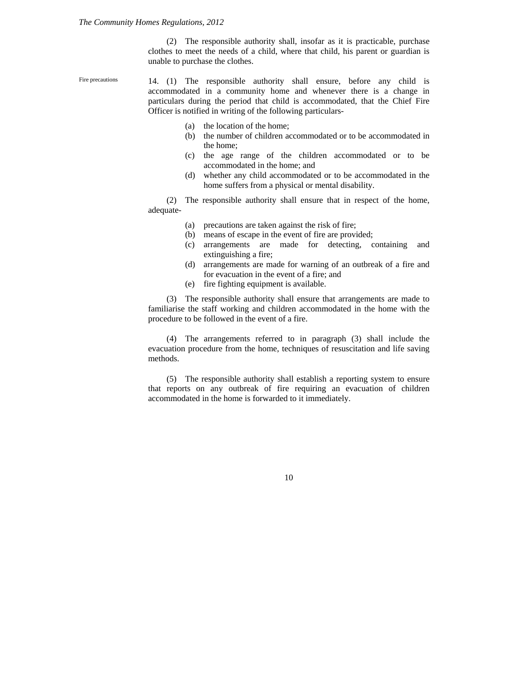(2) The responsible authority shall, insofar as it is practicable, purchase clothes to meet the needs of a child, where that child, his parent or guardian is unable to purchase the clothes.

14. (1) The responsible authority shall ensure, before any child is accommodated in a community home and whenever there is a change in particulars during the period that child is accommodated, that the Chief Fire Officer is notified in writing of the following particulars-Fire precautions

- (a) the location of the home;
- (b) the number of children accommodated or to be accommodated in the home;
- (c) the age range of the children accommodated or to be accommodated in the home; and
- (d) whether any child accommodated or to be accommodated in the home suffers from a physical or mental disability.

(2) The responsible authority shall ensure that in respect of the home, adequate-

- (a) precautions are taken against the risk of fire;
- (b) means of escape in the event of fire are provided;
- (c) arrangements are made for detecting, containing and extinguishing a fire;
- (d) arrangements are made for warning of an outbreak of a fire and for evacuation in the event of a fire; and
- (e) fire fighting equipment is available.

(3) The responsible authority shall ensure that arrangements are made to familiarise the staff working and children accommodated in the home with the procedure to be followed in the event of a fire.

(4) The arrangements referred to in paragraph (3) shall include the evacuation procedure from the home, techniques of resuscitation and life saving methods.

(5) The responsible authority shall establish a reporting system to ensure that reports on any outbreak of fire requiring an evacuation of children accommodated in the home is forwarded to it immediately.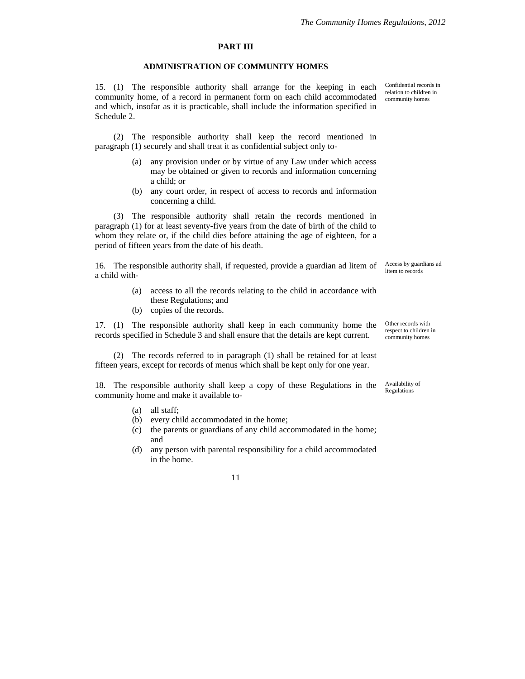#### **PART III**

### **ADMINISTRATION OF COMMUNITY HOMES**

15. (1) The responsible authority shall arrange for the keeping in each community home, of a record in permanent form on each child accommodated and which, insofar as it is practicable, shall include the information specified in Schedule 2.

(2) The responsible authority shall keep the record mentioned in paragraph (1) securely and shall treat it as confidential subject only to-

- (a) any provision under or by virtue of any Law under which access may be obtained or given to records and information concerning a child; or
- (b) any court order, in respect of access to records and information concerning a child.

(3) The responsible authority shall retain the records mentioned in paragraph (1) for at least seventy-five years from the date of birth of the child to whom they relate or, if the child dies before attaining the age of eighteen, for a period of fifteen years from the date of his death.

16. The responsible authority shall, if requested, provide a guardian ad litem of a child with-

- (a) access to all the records relating to the child in accordance with these Regulations; and
- (b) copies of the records.

17. (1) The responsible authority shall keep in each community home the records specified in Schedule 3 and shall ensure that the details are kept current.

(2) The records referred to in paragraph (1) shall be retained for at least fifteen years, except for records of menus which shall be kept only for one year.

18. The responsible authority shall keep a copy of these Regulations in the community home and make it available to-

- (a) all staff;
- (b) every child accommodated in the home;
- (c) the parents or guardians of any child accommodated in the home; and
- (d) any person with parental responsibility for a child accommodated in the home.

11

Confidential records in relation to children in community homes

Access by guardians ad litem to records

Other records with respect to children in community homes

Availability of Regulations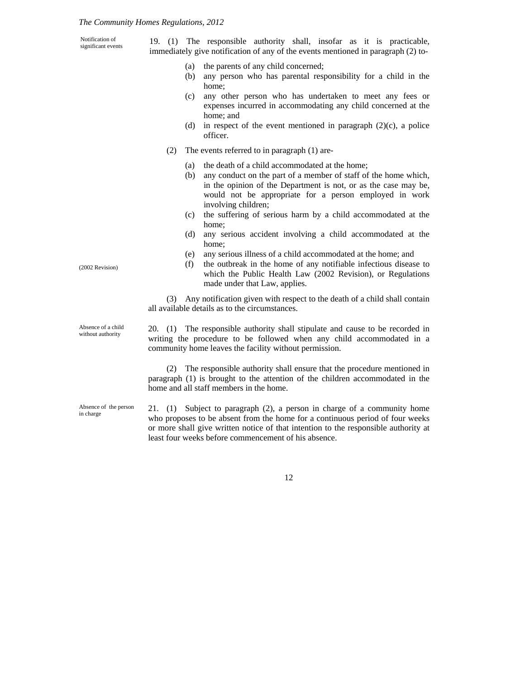Notification of

Absence of the person

in charge

immediately give notification of any of the events mentioned in paragraph (2) to- (a) the parents of any child concerned; (b) any person who has parental responsibility for a child in the home; home; and officer. (2) The events referred to in paragraph (1) are- (a) the death of a child accommodated at the home; (b) any conduct on the part of a member of staff of the home which, involving children; (c) the suffering of serious harm by a child accommodated at the home; (d) any serious accident involving a child accommodated at the home; (e) any serious illness of a child accommodated at the home; and made under that Law, applies. (2002 Revision) all available details as to the circumstances. 20. (1) The responsible authority shall stipulate and cause to be recorded in writing the procedure to be followed when any child accommodated in a community home leaves the facility without permission. Absence of a child without authority (2) The responsible authority shall ensure that the procedure mentioned in paragraph (1) is brought to the attention of the children accommodated in the home and all staff members in the home.

> 21. (1) Subject to paragraph (2), a person in charge of a community home who proposes to be absent from the home for a continuous period of four weeks or more shall give written notice of that intention to the responsible authority at least four weeks before commencement of his absence.

> > 12

Notification of 19. (1) The responsible authority shall, insofar as it is practicable, significant events

- 
- (c) any other person who has undertaken to meet any fees or expenses incurred in accommodating any child concerned at the
- (d) in respect of the event mentioned in paragraph  $(2)(c)$ , a police
- in the opinion of the Department is not, or as the case may be, would not be appropriate for a person employed in work
- 
- 
- (f) the outbreak in the home of any notifiable infectious disease to which the Public Health Law (2002 Revision), or Regulations

(3) Any notification given with respect to the death of a child shall contain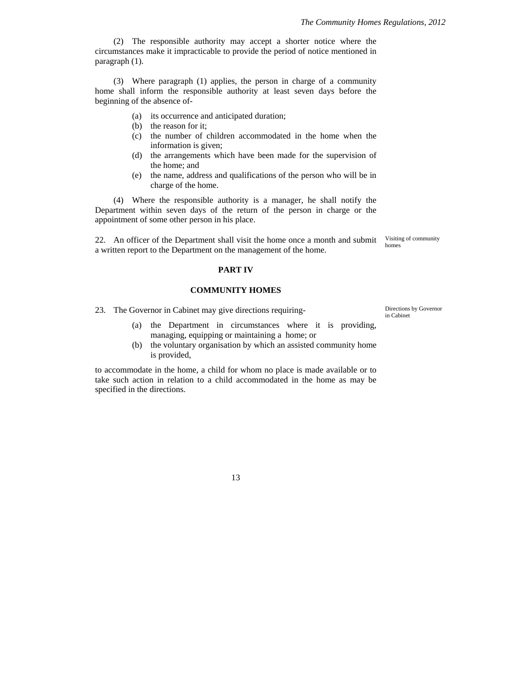(2) The responsible authority may accept a shorter notice where the circumstances make it impracticable to provide the period of notice mentioned in paragraph (1).

(3) Where paragraph (1) applies, the person in charge of a community home shall inform the responsible authority at least seven days before the beginning of the absence of-

- (a) its occurrence and anticipated duration;
- (b) the reason for it;
- (c) the number of children accommodated in the home when the information is given;
- (d) the arrangements which have been made for the supervision of the home; and
- (e) the name, address and qualifications of the person who will be in charge of the home.

(4) Where the responsible authority is a manager, he shall notify the Department within seven days of the return of the person in charge or the appointment of some other person in his place.

22. An officer of the Department shall visit the home once a month and submit a written report to the Department on the management of the home.

Visiting of community homes

## **PART IV**

### **COMMUNITY HOMES**

- 23. The Governor in Cabinet may give directions requiring-<br>
Directions by Governor
	- (a) the Department in circumstances where it is providing, managing, equipping or maintaining a home; or
	- (b) the voluntary organisation by which an assisted community home is provided,

to accommodate in the home, a child for whom no place is made available or to take such action in relation to a child accommodated in the home as may be specified in the directions.

in Cabinet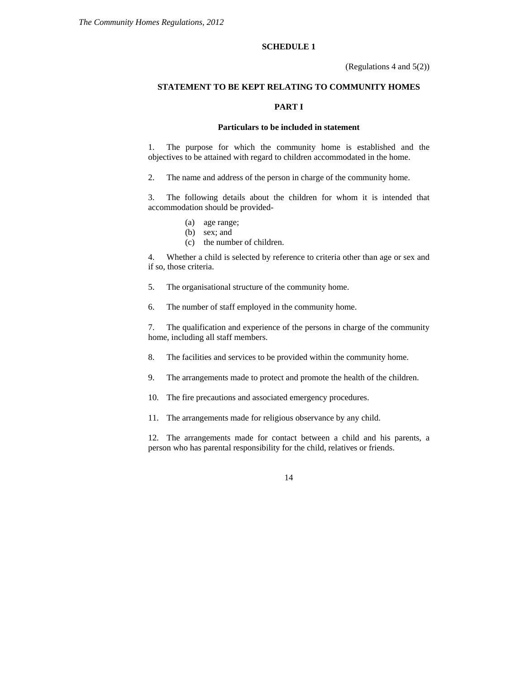### **SCHEDULE 1**

(Regulations 4 and 5(2))

# **STATEMENT TO BE KEPT RELATING TO COMMUNITY HOMES**

#### **PART I**

# **Particulars to be included in statement**

1. The purpose for which the community home is established and the objectives to be attained with regard to children accommodated in the home.

2. The name and address of the person in charge of the community home.

3. The following details about the children for whom it is intended that accommodation should be provided-

- (a) age range;
- (b) sex; and
- (c) the number of children.

4. Whether a child is selected by reference to criteria other than age or sex and if so, those criteria.

- 5. The organisational structure of the community home.
- 6. The number of staff employed in the community home.

7. The qualification and experience of the persons in charge of the community home, including all staff members.

- 8. The facilities and services to be provided within the community home.
- 9. The arrangements made to protect and promote the health of the children.
- 10. The fire precautions and associated emergency procedures.
- 11. The arrangements made for religious observance by any child.

12. The arrangements made for contact between a child and his parents, a person who has parental responsibility for the child, relatives or friends.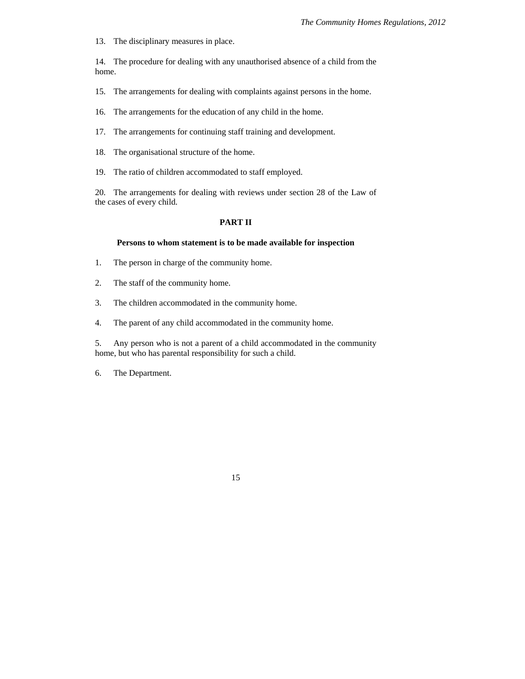13. The disciplinary measures in place.

14. The procedure for dealing with any unauthorised absence of a child from the home.

15. The arrangements for dealing with complaints against persons in the home.

16. The arrangements for the education of any child in the home.

- 17. The arrangements for continuing staff training and development.
- 18. The organisational structure of the home.
- 19. The ratio of children accommodated to staff employed.

20. The arrangements for dealing with reviews under section 28 of the Law of the cases of every child.

# **PART II**

#### **Persons to whom statement is to be made available for inspection**

- 1. The person in charge of the community home.
- 2. The staff of the community home.
- 3. The children accommodated in the community home.
- 4. The parent of any child accommodated in the community home.

5. Any person who is not a parent of a child accommodated in the community home, but who has parental responsibility for such a child.

6. The Department.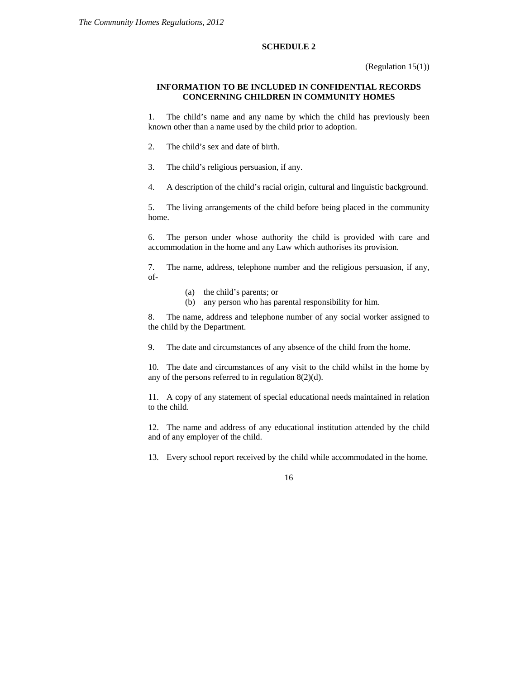#### **SCHEDULE 2**

# **INFORMATION TO BE INCLUDED IN CONFIDENTIAL RECORDS CONCERNING CHILDREN IN COMMUNITY HOMES**

1. The child's name and any name by which the child has previously been known other than a name used by the child prior to adoption.

- 2. The child's sex and date of birth.
- 3. The child's religious persuasion, if any.
- 4. A description of the child's racial origin, cultural and linguistic background.

5. The living arrangements of the child before being placed in the community home.

6. The person under whose authority the child is provided with care and accommodation in the home and any Law which authorises its provision.

7. The name, address, telephone number and the religious persuasion, if any, of-

- (a) the child's parents; or
- (b) any person who has parental responsibility for him.

8. The name, address and telephone number of any social worker assigned to the child by the Department.

9. The date and circumstances of any absence of the child from the home.

10. The date and circumstances of any visit to the child whilst in the home by any of the persons referred to in regulation 8(2)(d).

11. A copy of any statement of special educational needs maintained in relation to the child.

12. The name and address of any educational institution attended by the child and of any employer of the child.

13. Every school report received by the child while accommodated in the home.

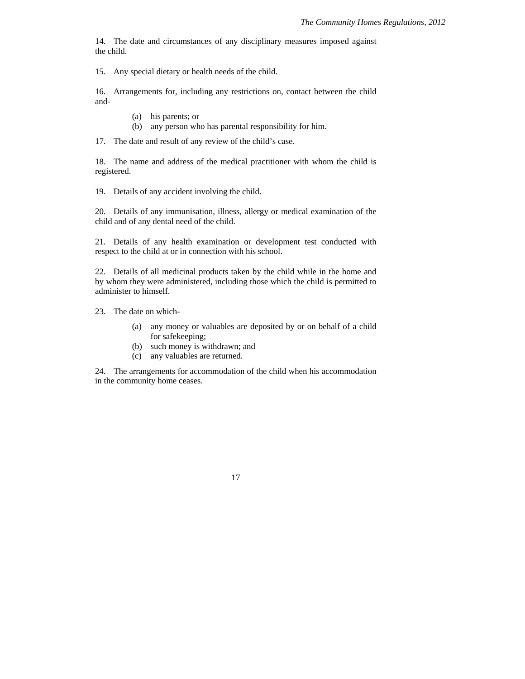14. The date and circumstances of any disciplinary measures imposed against the child.

15. Any special dietary or health needs of the child.

16. Arrangements for, including any restrictions on, contact between the child and-

- (a) his parents; or
- (b) any person who has parental responsibility for him.

17. The date and result of any review of the child's case.

18. The name and address of the medical practitioner with whom the child is registered.

19. Details of any accident involving the child.

20. Details of any immunisation, illness, allergy or medical examination of the child and of any dental need of the child.

21. Details of any health examination or development test conducted with respect to the child at or in connection with his school.

22. Details of all medicinal products taken by the child while in the home and by whom they were administered, including those which the child is permitted to administer to himself.

23. The date on which-

- (a) any money or valuables are deposited by or on behalf of a child for safekeeping;
- (b) such money is withdrawn; and
- (c) any valuables are returned.

24. The arrangements for accommodation of the child when his accommodation in the community home ceases.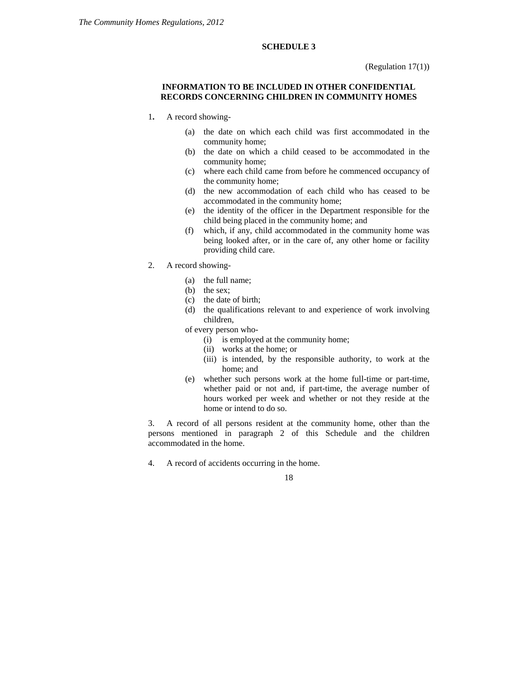# **SCHEDULE 3**

(Regulation 17(1))

# **INFORMATION TO BE INCLUDED IN OTHER CONFIDENTIAL RECORDS CONCERNING CHILDREN IN COMMUNITY HOMES**

- 1**.** A record showing-
	- (a) the date on which each child was first accommodated in the community home;
	- (b) the date on which a child ceased to be accommodated in the community home;
	- (c) where each child came from before he commenced occupancy of the community home;
	- (d) the new accommodation of each child who has ceased to be accommodated in the community home;
	- (e) the identity of the officer in the Department responsible for the child being placed in the community home; and
	- (f) which, if any, child accommodated in the community home was being looked after, or in the care of, any other home or facility providing child care.
- 2. A record showing-
	- (a) the full name;
	- (b) the sex;
	- (c) the date of birth;
	- (d) the qualifications relevant to and experience of work involving children,
	- of every person who-
		- (i) is employed at the community home;
		- (ii) works at the home; or
		- (iii) is intended, by the responsible authority, to work at the home; and
	- (e) whether such persons work at the home full-time or part-time, whether paid or not and, if part-time, the average number of hours worked per week and whether or not they reside at the home or intend to do so.

3. A record of all persons resident at the community home, other than the persons mentioned in paragraph 2 of this Schedule and the children accommodated in the home.

4. A record of accidents occurring in the home.